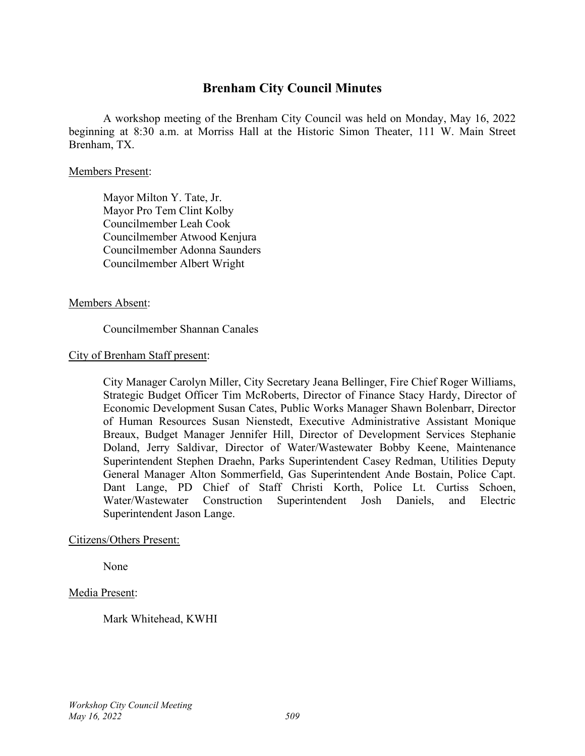## **Brenham City Council Minutes**

A workshop meeting of the Brenham City Council was held on Monday, May 16, 2022 beginning at 8:30 a.m. at Morriss Hall at the Historic Simon Theater, 111 W. Main Street Brenham, TX.

#### Members Present:

Mayor Milton Y. Tate, Jr. Mayor Pro Tem Clint Kolby Councilmember Leah Cook Councilmember Atwood Kenjura Councilmember Adonna Saunders Councilmember Albert Wright

#### Members Absent:

## Councilmember Shannan Canales

#### City of Brenham Staff present:

City Manager Carolyn Miller, City Secretary Jeana Bellinger, Fire Chief Roger Williams, Strategic Budget Officer Tim McRoberts, Director of Finance Stacy Hardy, Director of Economic Development Susan Cates, Public Works Manager Shawn Bolenbarr, Director of Human Resources Susan Nienstedt, Executive Administrative Assistant Monique Breaux, Budget Manager Jennifer Hill, Director of Development Services Stephanie Doland, Jerry Saldivar, Director of Water/Wastewater Bobby Keene, Maintenance Superintendent Stephen Draehn, Parks Superintendent Casey Redman, Utilities Deputy General Manager Alton Sommerfield, Gas Superintendent Ande Bostain, Police Capt. Dant Lange, PD Chief of Staff Christi Korth, Police Lt. Curtiss Schoen, Water/Wastewater Construction Superintendent Josh Daniels, and Electric Superintendent Jason Lange.

#### Citizens/Others Present:

None

#### Media Present:

Mark Whitehead, KWHI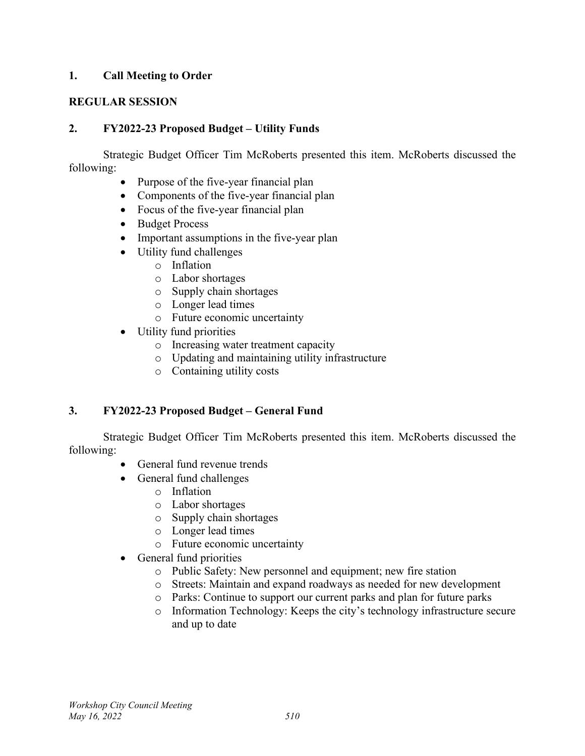## **1. Call Meeting to Order**

## **REGULAR SESSION**

## **2. FY2022-23 Proposed Budget – Utility Funds**

Strategic Budget Officer Tim McRoberts presented this item. McRoberts discussed the following:

- Purpose of the five-year financial plan
- Components of the five-year financial plan
- Focus of the five-year financial plan
- Budget Process
- Important assumptions in the five-year plan
- Utility fund challenges
	- o Inflation
	- o Labor shortages
	- o Supply chain shortages
	- o Longer lead times
	- o Future economic uncertainty
- Utility fund priorities
	- o Increasing water treatment capacity
	- o Updating and maintaining utility infrastructure
	- o Containing utility costs

## **3. FY2022-23 Proposed Budget – General Fund**

Strategic Budget Officer Tim McRoberts presented this item. McRoberts discussed the following:

- General fund revenue trends
- General fund challenges
	- o Inflation
	- o Labor shortages
	- o Supply chain shortages
	- o Longer lead times
	- o Future economic uncertainty
- General fund priorities
	- o Public Safety: New personnel and equipment; new fire station
	- o Streets: Maintain and expand roadways as needed for new development
	- o Parks: Continue to support our current parks and plan for future parks
	- o Information Technology: Keeps the city's technology infrastructure secure and up to date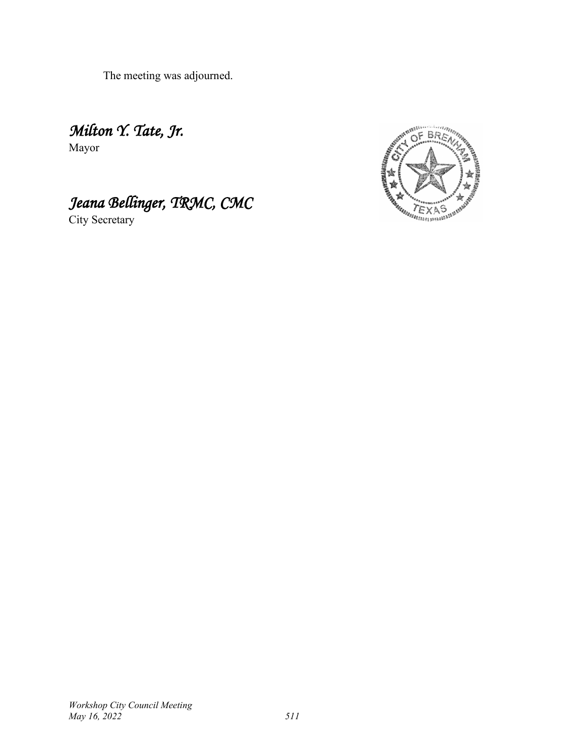The meeting was adjourned.

*Milton Y. Tate, Jr.* Mayor

# *Jeana Bellinger, TRMC, CMC*

City Secretary